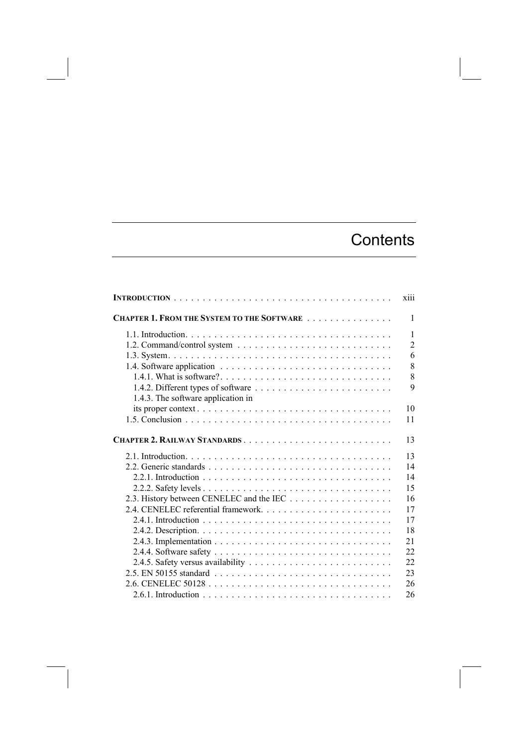## **Contents**

|                                                    | X111           |
|----------------------------------------------------|----------------|
| <b>CHAPTER 1. FROM THE SYSTEM TO THE SOFTWARE </b> | 1              |
|                                                    | $\mathbf{1}$   |
|                                                    | $\overline{2}$ |
|                                                    | 6              |
|                                                    | 8              |
|                                                    | 8              |
|                                                    | 9              |
| 1.4.3. The software application in                 |                |
|                                                    | 10             |
|                                                    | 11             |
| CHAPTER 2. RAILWAY STANDARDS                       | 13             |
|                                                    | 13             |
|                                                    | 14             |
|                                                    | 14             |
|                                                    | 15             |
|                                                    | 16             |
|                                                    | 17             |
|                                                    | 17             |
|                                                    | 18             |
|                                                    | 21             |
|                                                    | 22             |
|                                                    | 22             |
|                                                    | 23             |
|                                                    | 26             |
|                                                    | 26             |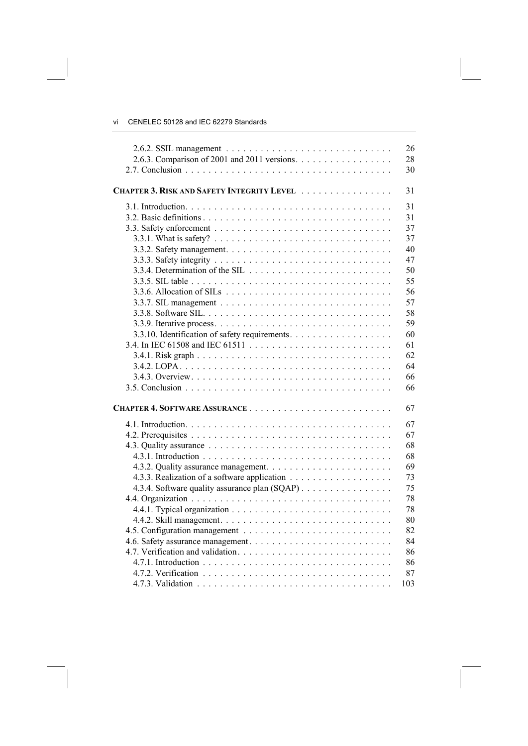vi CENELEC 50128 and IEC 62279 Standards

|                                                                                    | 26  |
|------------------------------------------------------------------------------------|-----|
| 2.6.3. Comparison of 2001 and 2011 versions. $\dots \dots \dots \dots \dots \dots$ | 28  |
|                                                                                    | 30  |
| <b>CHAPTER 3. RISK AND SAFETY INTEGRITY LEVEL</b>                                  | 31  |
|                                                                                    | 31  |
|                                                                                    | 31  |
|                                                                                    | 37  |
|                                                                                    | 37  |
|                                                                                    | 40  |
|                                                                                    | 47  |
|                                                                                    | 50  |
|                                                                                    | 55  |
|                                                                                    | 56  |
|                                                                                    | 57  |
|                                                                                    | 58  |
|                                                                                    | 59  |
| 3.3.10. Identification of safety requirements.                                     | 60  |
|                                                                                    | 61  |
|                                                                                    | 62  |
|                                                                                    | 64  |
|                                                                                    | 66  |
|                                                                                    | 66  |
|                                                                                    | 67  |
|                                                                                    | 67  |
|                                                                                    | 67  |
|                                                                                    | 68  |
|                                                                                    | 68  |
|                                                                                    | 69  |
|                                                                                    | 73  |
| 4.3.4. Software quality assurance plan (SQAP)                                      | 75  |
|                                                                                    | 78  |
|                                                                                    | 78  |
|                                                                                    | 80  |
|                                                                                    | 82  |
|                                                                                    | 84  |
|                                                                                    | 86  |
|                                                                                    | 86  |
|                                                                                    | 87  |
|                                                                                    | 103 |
|                                                                                    |     |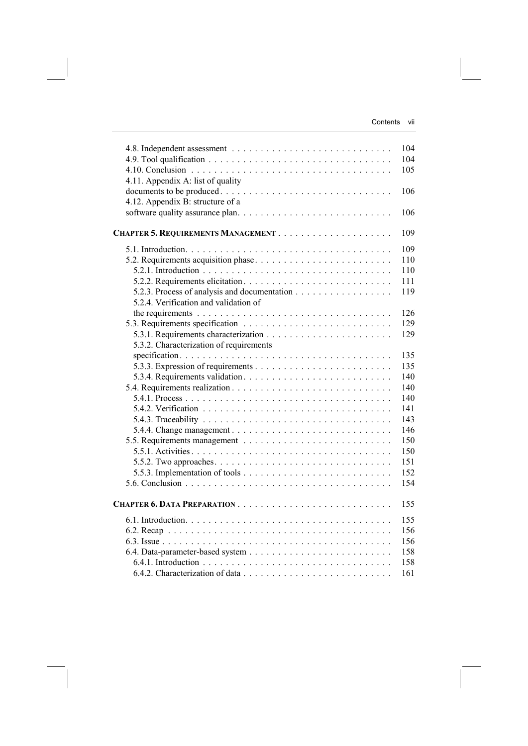|                                              | 104 |
|----------------------------------------------|-----|
|                                              | 104 |
|                                              | 105 |
| 4.11. Appendix A: list of quality            |     |
| documents to be produced                     | 106 |
| 4.12. Appendix B: structure of a             |     |
|                                              | 106 |
|                                              |     |
|                                              | 109 |
|                                              | 109 |
|                                              | 110 |
|                                              | 110 |
|                                              | 111 |
| 5.2.3. Process of analysis and documentation | 119 |
| 5.2.4. Verification and validation of        |     |
|                                              | 126 |
|                                              | 129 |
|                                              | 129 |
| 5.3.2. Characterization of requirements      |     |
|                                              | 135 |
|                                              | 135 |
|                                              | 140 |
|                                              | 140 |
|                                              | 140 |
|                                              | 141 |
|                                              | 143 |
|                                              | 146 |
|                                              | 150 |
|                                              | 150 |
|                                              | 151 |
|                                              | 152 |
|                                              | 154 |
|                                              |     |
|                                              | 155 |
|                                              | 155 |
|                                              | 156 |
|                                              | 156 |
|                                              | 158 |
|                                              | 158 |
|                                              | 161 |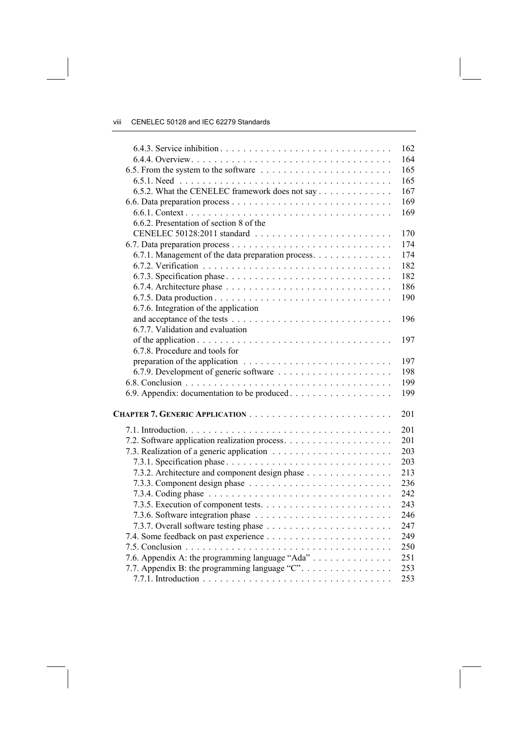|                                                    | 162 |
|----------------------------------------------------|-----|
|                                                    | 164 |
|                                                    | 165 |
|                                                    | 165 |
| 6.5.2. What the CENELEC framework does not say     | 167 |
|                                                    | 169 |
|                                                    | 169 |
| 6.6.2. Presentation of section 8 of the            |     |
|                                                    | 170 |
|                                                    | 174 |
| 6.7.1. Management of the data preparation process. | 174 |
|                                                    | 182 |
|                                                    | 182 |
|                                                    | 186 |
|                                                    | 190 |
| 6.7.6. Integration of the application              |     |
|                                                    | 196 |
| 6.7.7. Validation and evaluation                   |     |
|                                                    | 197 |
| 6.7.8. Procedure and tools for                     |     |
|                                                    | 197 |
|                                                    | 198 |
|                                                    | 199 |
|                                                    | 199 |
|                                                    |     |
|                                                    | 201 |
|                                                    | 201 |
|                                                    | 201 |
|                                                    | 203 |
|                                                    | 203 |
| 7.3.2. Architecture and component design phase     | 213 |
|                                                    | 236 |
|                                                    | 242 |
|                                                    | 243 |
|                                                    | 246 |
|                                                    | 247 |
|                                                    | 249 |
|                                                    | 250 |
| 7.6. Appendix A: the programming language "Ada"    | 251 |
| 7.7. Appendix B: the programming language "C".     | 253 |
|                                                    | 253 |
|                                                    |     |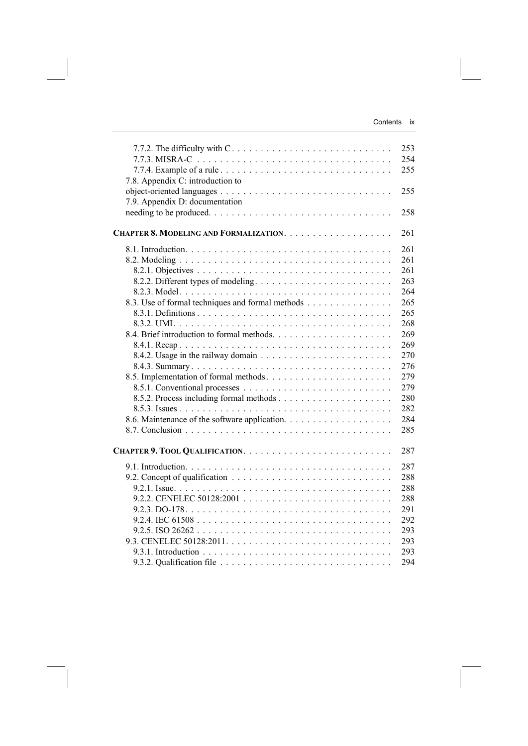| 7.7.2. The difficulty with $C_1, \ldots, C_n, \ldots, C_n$ | 253 |
|------------------------------------------------------------|-----|
|                                                            | 254 |
|                                                            | 255 |
| 7.8. Appendix C: introduction to                           |     |
|                                                            | 255 |
| 7.9. Appendix D: documentation                             |     |
|                                                            | 258 |
|                                                            | 261 |
|                                                            | 261 |
|                                                            | 261 |
|                                                            | 261 |
| 8.2.2. Different types of modeling                         | 263 |
|                                                            | 264 |
| 8.3. Use of formal techniques and formal methods           | 265 |
|                                                            | 265 |
|                                                            | 268 |
|                                                            | 269 |
|                                                            | 269 |
|                                                            | 270 |
|                                                            | 276 |
|                                                            | 279 |
|                                                            | 279 |
|                                                            | 280 |
|                                                            | 282 |
|                                                            | 284 |
|                                                            | 285 |
|                                                            |     |
|                                                            | 287 |
|                                                            | 287 |
|                                                            | 288 |
|                                                            | 288 |
|                                                            | 288 |
|                                                            | 291 |
|                                                            | 292 |
|                                                            | 293 |
|                                                            | 293 |
|                                                            | 293 |
|                                                            | 294 |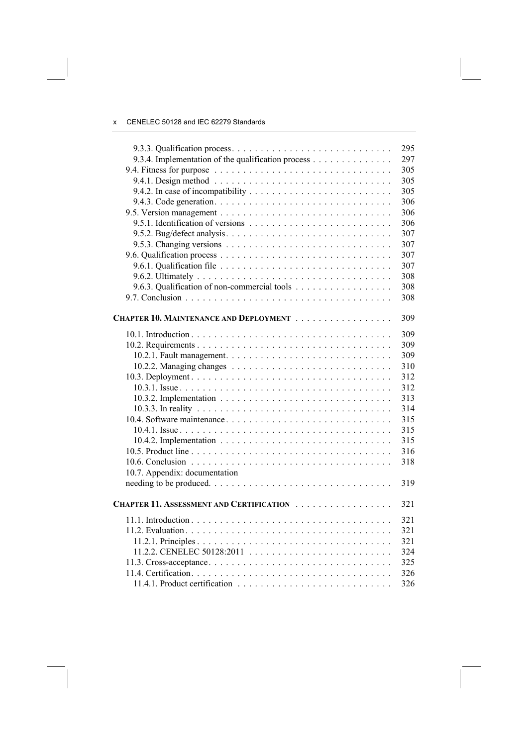|                                                    | 295 |
|----------------------------------------------------|-----|
| 9.3.4. Implementation of the qualification process | 297 |
|                                                    | 305 |
|                                                    | 305 |
|                                                    | 305 |
|                                                    | 306 |
|                                                    | 306 |
|                                                    | 306 |
|                                                    | 307 |
|                                                    | 307 |
|                                                    | 307 |
|                                                    | 307 |
|                                                    | 308 |
| 9.6.3. Qualification of non-commercial tools       | 308 |
|                                                    | 308 |
|                                                    |     |
| CHAPTER 10. MAINTENANCE AND DEPLOYMENT             | 309 |
|                                                    |     |
|                                                    | 309 |
|                                                    | 309 |
|                                                    | 309 |
|                                                    | 310 |
|                                                    | 312 |
|                                                    | 312 |
|                                                    | 313 |
|                                                    | 314 |
|                                                    | 315 |
|                                                    | 315 |
|                                                    | 315 |
|                                                    | 316 |
|                                                    | 318 |
| 10.7. Appendix: documentation                      |     |
|                                                    | 319 |
|                                                    |     |
| CHAPTER 11. ASSESSMENT AND CERTIFICATION           | 321 |
|                                                    | 321 |
|                                                    | 321 |
|                                                    | 321 |
|                                                    | 324 |
|                                                    | 325 |
|                                                    | 326 |
|                                                    | 326 |
|                                                    |     |